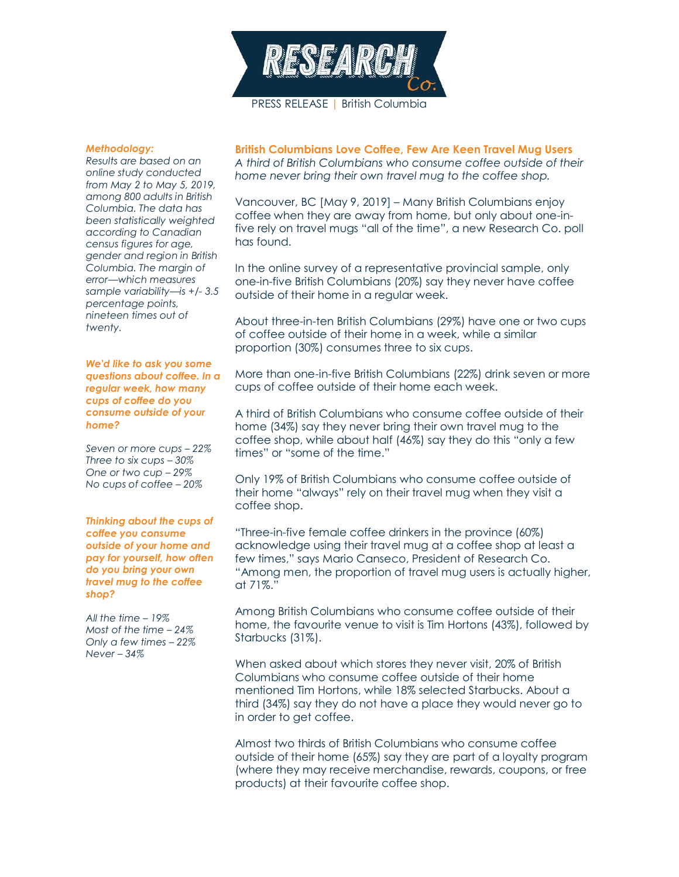

## *Methodology:*

*Results are based on an online study conducted from May 2 to May 5, 2019, among 800 adults in British Columbia. The data has been statistically weighted according to Canadian census figures for age, gender and region in British Columbia. The margin of error—which measures sample variability—is +/- 3.5 percentage points, nineteen times out of twenty.*

*We'd like to ask you some questions about coffee. In a regular week, how many cups of coffee do you consume outside of your home?*

*Seven or more cups – 22% Three to six cups – 30% One or two cup – 29% No cups of coffee – 20%*

*Thinking about the cups of coffee you consume outside of your home and pay for yourself, how often do you bring your own travel mug to the coffee shop?*

*All the time – 19% Most of the time – 24% Only a few times – 22% Never – 34%*

**British Columbians Love Coffee, Few Are Keen Travel Mug Users** *A third of British Columbians who consume coffee outside of their home never bring their own travel mug to the coffee shop.*

Vancouver, BC [May 9, 2019] – Many British Columbians enjoy coffee when they are away from home, but only about one-infive rely on travel mugs "all of the time", a new Research Co. poll has found.

In the online survey of a representative provincial sample, only one-in-five British Columbians (20%) say they never have coffee outside of their home in a regular week.

About three-in-ten British Columbians (29%) have one or two cups of coffee outside of their home in a week, while a similar proportion (30%) consumes three to six cups.

More than one-in-five British Columbians (22%) drink seven or more cups of coffee outside of their home each week.

A third of British Columbians who consume coffee outside of their home (34%) say they never bring their own travel mug to the coffee shop, while about half (46%) say they do this "only a few times" or "some of the time."

Only 19% of British Columbians who consume coffee outside of their home "always" rely on their travel mug when they visit a coffee shop.

"Three-in-five female coffee drinkers in the province (60%) acknowledge using their travel mug at a coffee shop at least a few times," says Mario Canseco, President of Research Co. "Among men, the proportion of travel mug users is actually higher, at 71%."

Among British Columbians who consume coffee outside of their home, the favourite venue to visit is Tim Hortons (43%), followed by Starbucks (31%).

When asked about which stores they never visit, 20% of British Columbians who consume coffee outside of their home mentioned Tim Hortons, while 18% selected Starbucks. About a third (34%) say they do not have a place they would never go to in order to get coffee.

Almost two thirds of British Columbians who consume coffee outside of their home (65%) say they are part of a loyalty program (where they may receive merchandise, rewards, coupons, or free products) at their favourite coffee shop.